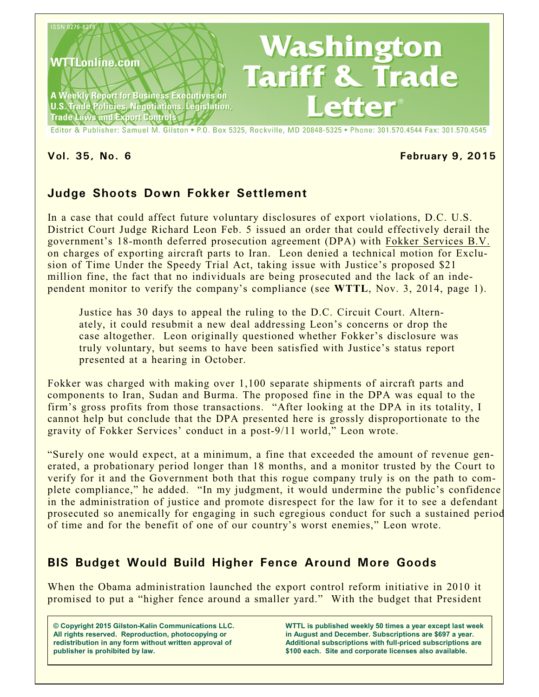

#### **Vol. 35, No. 6 February 9, 2015**

# **Judge Shoots Down Fokker Settlement**

In a case that could affect future voluntary disclosures of export violations, D.C. U.S. District Court Judge Richard Leon Feb. 5 issued an order that could effectively derail the government's 18-month deferred prosecution agreement (DPA) with Fokker Services B.V. on charges of exporting aircraft parts to Iran. Leon denied a technical motion for Exclusion of Time Under the Speedy Trial Act, taking issue with Justice's proposed \$21 million fine, the fact that no individuals are being prosecuted and the lack of an independent monitor to verify the company's compliance (see **WTTL**, Nov. 3, 2014, page 1).

Justice has 30 days to appeal the ruling to the D.C. Circuit Court. Alternately, it could resubmit a new deal addressing Leon's concerns or drop the case altogether. Leon originally questioned whether Fokker's disclosure was truly voluntary, but seems to have been satisfied with Justice's status report presented at a hearing in October.

Fokker was charged with making over 1,100 separate shipments of aircraft parts and components to Iran, Sudan and Burma. The proposed fine in the DPA was equal to the firm's gross profits from those transactions. "After looking at the DPA in its totality, I cannot help but conclude that the DPA presented here is grossly disproportionate to the gravity of Fokker Services' conduct in a post-9/11 world," Leon wrote.

"Surely one would expect, at a minimum, a fine that exceeded the amount of revenue generated, a probationary period longer than 18 months, and a monitor trusted by the Court to verify for it and the Government both that this rogue company truly is on the path to complete compliance," he added. "In my judgment, it would undermine the public's confidence in the administration of justice and promote disrespect for the law for it to see a defendant prosecuted so anemically for engaging in such egregious conduct for such a sustained period of time and for the benefit of one of our country's worst enemies," Leon wrote.

# **BIS Budget Would Build Higher Fence Around More Goods**

When the Obama administration launched the export control reform initiative in 2010 it promised to put a "higher fence around a smaller yard." With the budget that President

**© Copyright 2015 Gilston-Kalin Communications LLC. All rights reserved. Reproduction, photocopying or redistribution in any form without written approval of publisher is prohibited by law.** 

**WTTL is published weekly 50 times a year except last week in August and December. Subscriptions are \$697 a year. Additional subscriptions with full-priced subscriptions are \$100 each. Site and corporate licenses also available.**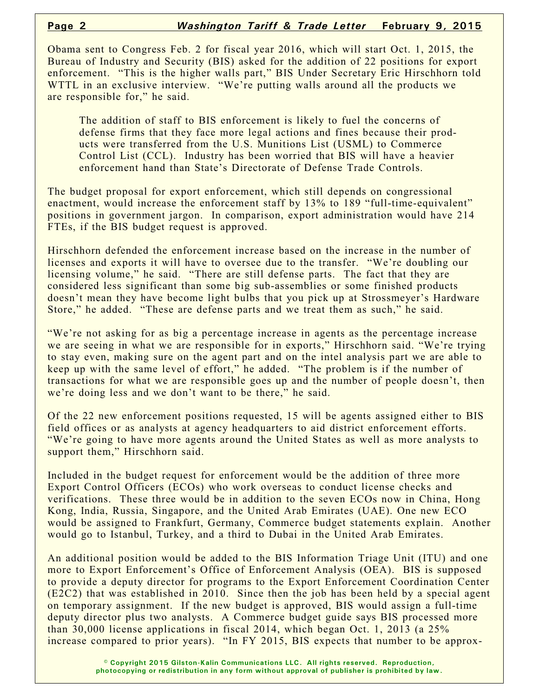Obama sent to Congress Feb. 2 for fiscal year 2016, which will start Oct. 1, 2015, the Bureau of Industry and Security (BIS) asked for the addition of 22 positions for export enforcement. "This is the higher walls part," BIS Under Secretary Eric Hirschhorn told WTTL in an exclusive interview. "We're putting walls around all the products we are responsible for," he said.

The addition of staff to BIS enforcement is likely to fuel the concerns of defense firms that they face more legal actions and fines because their products were transferred from the U.S. Munitions List (USML) to Commerce Control List (CCL). Industry has been worried that BIS will have a heavier enforcement hand than State's Directorate of Defense Trade Controls.

The budget proposal for export enforcement, which still depends on congressional enactment, would increase the enforcement staff by 13% to 189 "full-time-equivalent" positions in government jargon. In comparison, export administration would have 214 FTEs, if the BIS budget request is approved.

Hirschhorn defended the enforcement increase based on the increase in the number of licenses and exports it will have to oversee due to the transfer. "We're doubling our licensing volume," he said. "There are still defense parts. The fact that they are considered less significant than some big sub-assemblies or some finished products doesn't mean they have become light bulbs that you pick up at Strossmeyer's Hardware Store," he added. "These are defense parts and we treat them as such," he said.

"We're not asking for as big a percentage increase in agents as the percentage increase we are seeing in what we are responsible for in exports," Hirschhorn said. "We're trying to stay even, making sure on the agent part and on the intel analysis part we are able to keep up with the same level of effort," he added. "The problem is if the number of transactions for what we are responsible goes up and the number of people doesn't, then we're doing less and we don't want to be there," he said.

Of the 22 new enforcement positions requested, 15 will be agents assigned either to BIS field offices or as analysts at agency headquarters to aid district enforcement efforts. "We're going to have more agents around the United States as well as more analysts to support them," Hirschhorn said.

Included in the budget request for enforcement would be the addition of three more Export Control Officers (ECOs) who work overseas to conduct license checks and verifications. These three would be in addition to the seven ECOs now in China, Hong Kong, India, Russia, Singapore, and the United Arab Emirates (UAE). One new ECO would be assigned to Frankfurt, Germany, Commerce budget statements explain. Another would go to Istanbul, Turkey, and a third to Dubai in the United Arab Emirates.

An additional position would be added to the BIS Information Triage Unit (ITU) and one more to Export Enforcement's Office of Enforcement Analysis (OEA). BIS is supposed to provide a deputy director for programs to the Export Enforcement Coordination Center (E2C2) that was established in 2010. Since then the job has been held by a special agent on temporary assignment. If the new budget is approved, BIS would assign a full-time deputy director plus two analysts. A Commerce budget guide says BIS processed more than 30,000 license applications in fiscal 2014, which began Oct. 1, 2013 (a 25% increase compared to prior years). "In FY 2015, BIS expects that number to be approx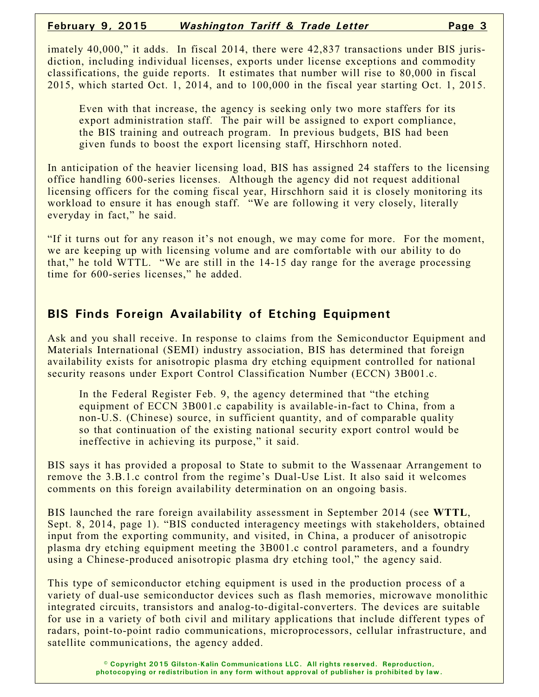imately 40,000," it adds. In fiscal 2014, there were 42,837 transactions under BIS jurisdiction, including individual licenses, exports under license exceptions and commodity classifications, the guide reports. It estimates that number will rise to 80,000 in fiscal 2015, which started Oct. 1, 2014, and to 100,000 in the fiscal year starting Oct. 1, 2015.

Even with that increase, the agency is seeking only two more staffers for its export administration staff. The pair will be assigned to export compliance, the BIS training and outreach program. In previous budgets, BIS had been given funds to boost the export licensing staff, Hirschhorn noted.

In anticipation of the heavier licensing load, BIS has assigned 24 staffers to the licensing office handling 600-series licenses. Although the agency did not request additional licensing officers for the coming fiscal year, Hirschhorn said it is closely monitoring its workload to ensure it has enough staff. "We are following it very closely, literally everyday in fact," he said.

"If it turns out for any reason it's not enough, we may come for more. For the moment, we are keeping up with licensing volume and are comfortable with our ability to do that," he told WTTL. "We are still in the 14-15 day range for the average processing time for 600-series licenses," he added.

## **BIS Finds Foreign Availability of Etching Equipment**

Ask and you shall receive. In response to claims from the Semiconductor Equipment and Materials International (SEMI) industry association, BIS has determined that foreign availability exists for anisotropic plasma dry etching equipment controlled for national security reasons under Export Control Classification Number (ECCN) 3B001.c.

In the Federal Register Feb. 9, the agency determined that "the etching equipment of ECCN 3B001.c capability is available-in-fact to China, from a non-U.S. (Chinese) source, in sufficient quantity, and of comparable quality so that continuation of the existing national security export control would be ineffective in achieving its purpose," it said.

BIS says it has provided a proposal to State to submit to the Wassenaar Arrangement to remove the 3.B.1.c control from the regime's Dual-Use List. It also said it welcomes comments on this foreign availability determination on an ongoing basis.

BIS launched the rare foreign availability assessment in September 2014 (see **WTTL**, Sept. 8, 2014, page 1). "BIS conducted interagency meetings with stakeholders, obtained input from the exporting community, and visited, in China, a producer of anisotropic plasma dry etching equipment meeting the 3B001.c control parameters, and a foundry using a Chinese-produced anisotropic plasma dry etching tool," the agency said.

This type of semiconductor etching equipment is used in the production process of a variety of dual-use semiconductor devices such as flash memories, microwave monolithic integrated circuits, transistors and analog-to-digital-converters. The devices are suitable for use in a variety of both civil and military applications that include different types of radars, point-to-point radio communications, microprocessors, cellular infrastructure, and satellite communications, the agency added.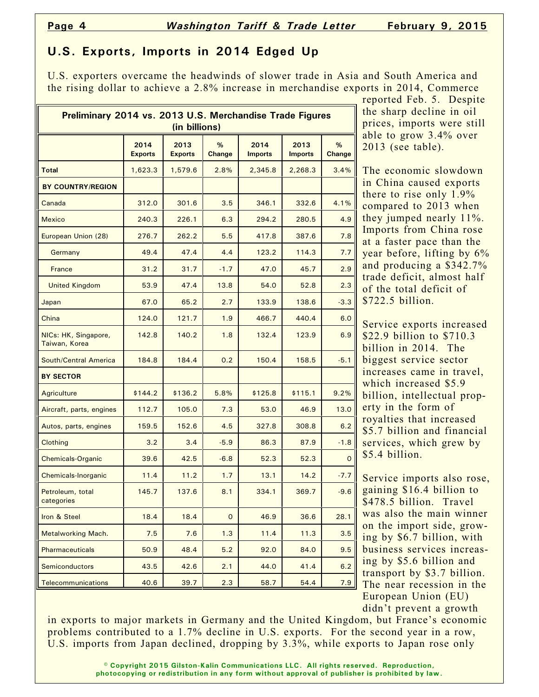## **U.S. Exports, Imports in 2014 Edged Up**

U.S. exporters overcame the headwinds of slower trade in Asia and South America and the rising dollar to achieve a 2.8% increase in merchandise exports in 2014, Commerce

| Preliminary 2014 vs. 2013 U.S. Merchandise Trade Figures<br>(in billions) |                        |                        |                    |                        |                        |              |  |  |
|---------------------------------------------------------------------------|------------------------|------------------------|--------------------|------------------------|------------------------|--------------|--|--|
|                                                                           | 2014<br><b>Exports</b> | 2013<br><b>Exports</b> | %<br><b>Change</b> | 2014<br><b>Imports</b> | 2013<br><b>Imports</b> | %<br>Change  |  |  |
| <b>Total</b>                                                              | 1,623.3                | 1,579.6                | 2.8%               | 2,345.8                | 2,268.3                | 3.4%         |  |  |
| <b>BY COUNTRY/REGION</b>                                                  |                        |                        |                    |                        |                        |              |  |  |
| Canada                                                                    | 312.0                  | 301.6                  | 3.5                | 346.1                  | 332.6                  | 4.1%         |  |  |
| <b>Mexico</b>                                                             | 240.3                  | 226.1                  | 6.3                | 294.2                  | 280.5                  | 4.9          |  |  |
| European Union (28)                                                       | 276.7                  | 262.2                  | 5.5                | 417.8                  | 387.6                  | 7.8          |  |  |
| Germany                                                                   | 49.4                   | 47.4                   | 4.4                | 123.2                  | 114.3                  | 7.7          |  |  |
| France                                                                    | 31.2                   | 31.7                   | $-1.7$             | 47.0                   | 45.7                   | 2.9          |  |  |
| <b>United Kingdom</b>                                                     | 53.9                   | 47.4                   | 13.8               | 54.0                   | 52.8                   | 2.3          |  |  |
| Japan                                                                     | 67.0                   | 65.2                   | 2.7                | 133.9                  | 138.6                  | $-3.3$       |  |  |
| China                                                                     | 124.0                  | 121.7                  | 1.9                | 466.7                  | 440.4                  | 6.0          |  |  |
| NICs: HK, Singapore,<br>Taiwan, Korea                                     | 142.8                  | 140.2                  | 1.8                | 132.4                  | 123.9                  | 6.9          |  |  |
| <b>South/Central America</b>                                              | 184.8                  | 184.4                  | 0.2                | 150.4                  | 158.5                  | $-5.1$       |  |  |
| <b>BY SECTOR</b>                                                          |                        |                        |                    |                        |                        |              |  |  |
| Agriculture                                                               | \$144.2                | \$136.2                | 5.8%               | \$125.8                | \$115.1                | 9.2%         |  |  |
| Aircraft, parts, engines                                                  | 112.7                  | 105.0                  | 7.3                | 53.0                   | 46.9                   | 13.0         |  |  |
| Autos, parts, engines                                                     | 159.5                  | 152.6                  | 4.5                | 327.8                  | 308.8                  | 6.2          |  |  |
| Clothing                                                                  | 3.2                    | 3.4                    | $-5.9$             | 86.3                   | 87.9                   | $-1.8$       |  |  |
| <b>Chemicals-Organic</b>                                                  | 39.6                   | 42.5                   | $-6.8$             | 52.3                   | 52.3                   | $\mathsf{o}$ |  |  |
| Chemicals-Inorganic                                                       | 11.4                   | 11.2                   | 1.7                | 13.1                   | 14.2                   | $-7.7$       |  |  |
| Petroleum, total<br>categories                                            | 145.7                  | 137.6                  | 8.1                | 334.1                  | 369.7                  | $-9.6$       |  |  |
| Iron & Steel                                                              | 18.4                   | 18.4                   | $\overline{O}$     | 46.9                   | 36.6                   | 28.1         |  |  |
| Metalworking Mach.                                                        | 7.5                    | 7.6                    | 1.3                | 11.4                   | 11.3                   | 3.5          |  |  |
| Pharmaceuticals                                                           | 50.9                   | 48.4                   | 5.2                | 92.0                   | 84.0                   | 9.5          |  |  |
| <b>Semiconductors</b>                                                     | 43.5                   | 42.6                   | 2.1                | 44.0                   | 41.4                   | 6.2          |  |  |
| <b>Telecommunications</b>                                                 | 40.6                   | 39.7                   | 2.3                | 58.7                   | 54.4                   | 7.9          |  |  |

reported Feb. 5. Despite the sharp decline in oil prices, imports were still able to grow 3.4% over 2013 (see table).

The economic slowdown in China caused exports there to rise only 1.9% compared to 2013 when they jumped nearly 11%. Imports from China rose at a faster pace than the year before, lifting by 6% and producing a \$342.7% trade deficit, almost half of the total deficit of \$722.5 billion.

Service exports increased \$22.9 billion to \$710.3 billion in 2014. The biggest service sector increases came in travel, which increased \$5.9 billion, intellectual property in the form of royalties that increased \$5.7 billion and financial services, which grew by \$5.4 billion.

Service imports also rose, gaining \$16.4 billion to \$478.5 billion. Travel was also the main winner on the import side, growing by \$6.7 billion, with business services increasing by \$5.6 billion and transport by \$3.7 billion. The near recession in the European Union (EU) didn't prevent a growth

in exports to major markets in Germany and the United Kingdom, but France's economic problems contributed to a 1.7% decline in U.S. exports. For the second year in a row, U.S. imports from Japan declined, dropping by 3.3%, while exports to Japan rose only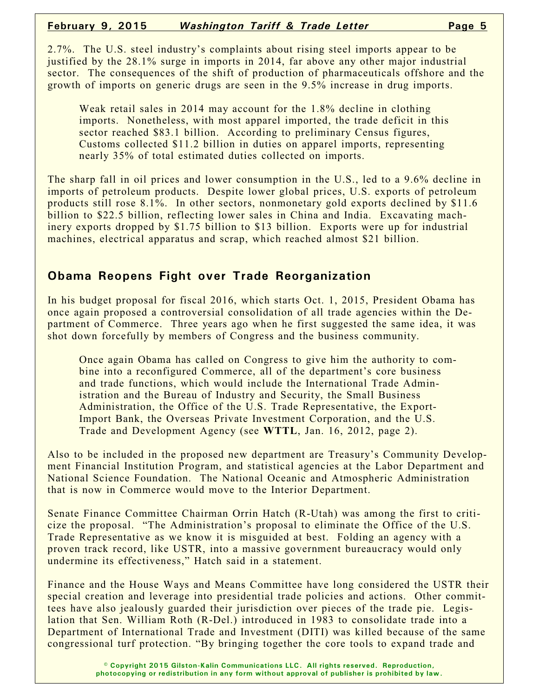2.7%. The U.S. steel industry's complaints about rising steel imports appear to be justified by the 28.1% surge in imports in 2014, far above any other major industrial sector. The consequences of the shift of production of pharmaceuticals offshore and the growth of imports on generic drugs are seen in the 9.5% increase in drug imports.

Weak retail sales in 2014 may account for the 1.8% decline in clothing imports. Nonetheless, with most apparel imported, the trade deficit in this sector reached \$83.1 billion. According to preliminary Census figures, Customs collected \$11.2 billion in duties on apparel imports, representing nearly 35% of total estimated duties collected on imports.

The sharp fall in oil prices and lower consumption in the U.S., led to a 9.6% decline in imports of petroleum products. Despite lower global prices, U.S. exports of petroleum products still rose 8.1%. In other sectors, nonmonetary gold exports declined by \$11.6 billion to \$22.5 billion, reflecting lower sales in China and India. Excavating machinery exports dropped by \$1.75 billion to \$13 billion. Exports were up for industrial machines, electrical apparatus and scrap, which reached almost \$21 billion.

### **Obama Reopens Fight over Trade Reorganization**

In his budget proposal for fiscal 2016, which starts Oct. 1, 2015, President Obama has once again proposed a controversial consolidation of all trade agencies within the Department of Commerce. Three years ago when he first suggested the same idea, it was shot down forcefully by members of Congress and the business community.

Once again Obama has called on Congress to give him the authority to combine into a reconfigured Commerce, all of the department's core business and trade functions, which would include the International Trade Administration and the Bureau of Industry and Security, the Small Business Administration, the Office of the U.S. Trade Representative, the Export-Import Bank, the Overseas Private Investment Corporation, and the U.S. Trade and Development Agency (see **WTTL**, Jan. 16, 2012, page 2).

Also to be included in the proposed new department are Treasury's Community Development Financial Institution Program, and statistical agencies at the Labor Department and National Science Foundation. The National Oceanic and Atmospheric Administration that is now in Commerce would move to the Interior Department.

Senate Finance Committee Chairman Orrin Hatch (R-Utah) was among the first to criticize the proposal. "The Administration's proposal to eliminate the Office of the U.S. Trade Representative as we know it is misguided at best. Folding an agency with a proven track record, like USTR, into a massive government bureaucracy would only undermine its effectiveness," Hatch said in a statement.

Finance and the House Ways and Means Committee have long considered the USTR their special creation and leverage into presidential trade policies and actions. Other committees have also jealously guarded their jurisdiction over pieces of the trade pie. Legislation that Sen. William Roth (R-Del.) introduced in 1983 to consolidate trade into a Department of International Trade and Investment (DITI) was killed because of the same congressional turf protection. "By bringing together the core tools to expand trade and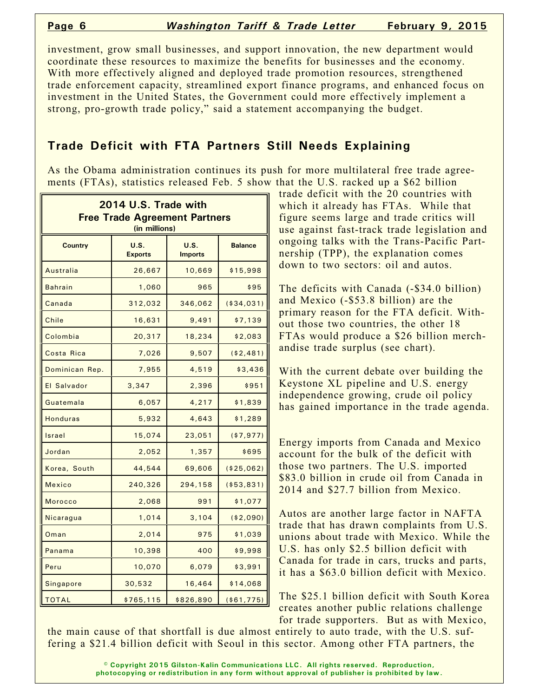investment, grow small businesses, and support innovation, the new department would coordinate these resources to maximize the benefits for businesses and the economy. With more effectively aligned and deployed trade promotion resources, strengthened trade enforcement capacity, streamlined export finance programs, and enhanced focus on investment in the United States, the Government could more effectively implement a strong, pro-growth trade policy," said a statement accompanying the budget.

## **Trade Deficit with FTA Partners Still Needs Explaining**

As the Obama administration continues its push for more multilateral free trade agreements (FTAs), statistics released Feb. 5 show that the U.S. racked up a \$62 billion

| 2014 U.S. Trade with<br><b>Free Trade Agreement Partners</b><br>(in millions) |                               |                        |                |  |  |  |
|-------------------------------------------------------------------------------|-------------------------------|------------------------|----------------|--|--|--|
| <b>Country</b>                                                                | <b>U.S.</b><br><b>Exports</b> | U.S.<br><b>Imports</b> | <b>Balance</b> |  |  |  |
| Australia                                                                     | 26,667                        | 10,669                 | \$15,998       |  |  |  |
| <b>Bahrain</b>                                                                | 1,060                         | 965                    | \$95           |  |  |  |
| Canada                                                                        | 312,032                       | 346,062                | ( \$34, 031)   |  |  |  |
| Chile                                                                         | 16,631                        | 9,491                  | \$7,139        |  |  |  |
| Colombia                                                                      | 20,317                        | 18,234                 | \$2,083        |  |  |  |
| Costa Rica                                                                    | 7,026                         | 9,507                  | ( \$2,481)     |  |  |  |
| Dominican Rep.                                                                | 7,955                         | 4,519                  | \$3,436        |  |  |  |
| El Salvador                                                                   | 3,347                         | 2,396                  | \$951          |  |  |  |
| Guatemala                                                                     | 6,057                         | 4,217                  | \$1,839        |  |  |  |
| <b>Honduras</b>                                                               | 5,932                         | 4,643                  | \$1,289        |  |  |  |
| Israel                                                                        | 15,074                        | 23,051                 | (\$7,977)      |  |  |  |
| Jordan                                                                        | 2,052                         | 1,357                  | \$695          |  |  |  |
| Korea, South                                                                  | 44,544                        | 69,606                 | ( \$25,062)    |  |  |  |
| Mexico                                                                        | 240,326                       | 294,158                | ( \$53, 831)   |  |  |  |
| <b>Morocco</b>                                                                | 2,068                         | 991                    | \$1,077        |  |  |  |
| <mark>Nicaragua</mark>                                                        | 1,014                         | 3,104                  | ( \$2,090)     |  |  |  |
| Oman                                                                          | 2,014                         | 975                    | \$1,039        |  |  |  |
| Panama                                                                        | 10,398                        | 400                    | \$9,998        |  |  |  |
| Peru                                                                          | 10,070                        | 6,079                  | \$3,991        |  |  |  |
| Singapore                                                                     | 30,532                        | 16,464                 | \$14,068       |  |  |  |
| <b>TOTAL</b>                                                                  | \$765,115                     | \$826,890              | ( \$61, 775)   |  |  |  |

trade deficit with the 20 countries with which it already has FTAs. While that figure seems large and trade critics will use against fast-track trade legislation and ongoing talks with the Trans-Pacific Partnership (TPP), the explanation comes down to two sectors: oil and autos.

The deficits with Canada (-\$34.0 billion) and Mexico (-\$53.8 billion) are the primary reason for the FTA deficit. Without those two countries, the other 18 FTAs would produce a \$26 billion merchandise trade surplus (see chart).

With the current debate over building the Keystone XL pipeline and U.S. energy independence growing, crude oil policy has gained importance in the trade agenda.

Energy imports from Canada and Mexico account for the bulk of the deficit with those two partners. The U.S. imported \$83.0 billion in crude oil from Canada in 2014 and \$27.7 billion from Mexico.

Autos are another large factor in NAFTA trade that has drawn complaints from U.S. unions about trade with Mexico. While the U.S. has only \$2.5 billion deficit with Canada for trade in cars, trucks and parts, it has a \$63.0 billion deficit with Mexico.

The \$25.1 billion deficit with South Korea creates another public relations challenge for trade supporters. But as with Mexico,

the main cause of that shortfall is due almost entirely to auto trade, with the U.S. suffering a \$21.4 billion deficit with Seoul in this sector. Among other FTA partners, the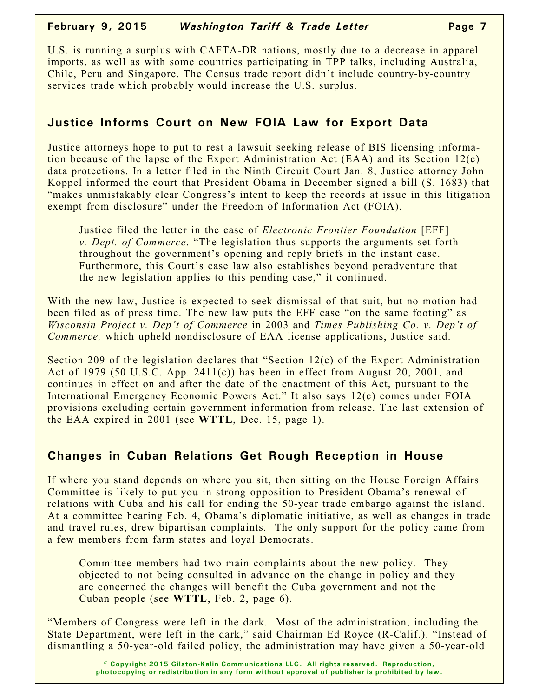#### **February 9, 2015** *Washington Tariff & Trade Letter* **Page 7**

U.S. is running a surplus with CAFTA-DR nations, mostly due to a decrease in apparel imports, as well as with some countries participating in TPP talks, including Australia, Chile, Peru and Singapore. The Census trade report didn't include country-by-country services trade which probably would increase the U.S. surplus.

# **Justice Informs Court on New FOIA Law for Export Data**

Justice attorneys hope to put to rest a lawsuit seeking release of BIS licensing information because of the lapse of the Export Administration Act (EAA) and its Section 12(c) data protections. In a letter filed in the Ninth Circuit Court Jan. 8, Justice attorney John Koppel informed the court that President Obama in December signed a bill (S. 1683) that "makes unmistakably clear Congress's intent to keep the records at issue in this litigation exempt from disclosure" under the Freedom of Information Act (FOIA).

Justice filed the letter in the case of *Electronic Frontier Foundation* [EFF] *v. Dept. of Commerce*. "The legislation thus supports the arguments set forth throughout the government's opening and reply briefs in the instant case. Furthermore, this Court's case law also establishes beyond peradventure that the new legislation applies to this pending case," it continued.

With the new law, Justice is expected to seek dismissal of that suit, but no motion had been filed as of press time. The new law puts the EFF case "on the same footing" as *Wisconsin Project v. Dep't of Commerce* in 2003 and *Times Publishing Co. v. Dep't of Commerce,* which upheld nondisclosure of EAA license applications, Justice said.

Section 209 of the legislation declares that "Section 12(c) of the Export Administration Act of 1979 (50 U.S.C. App. 2411(c)) has been in effect from August 20, 2001, and continues in effect on and after the date of the enactment of this Act, pursuant to the International Emergency Economic Powers Act." It also says 12(c) comes under FOIA provisions excluding certain government information from release. The last extension of the EAA expired in 2001 (see **WTTL**, Dec. 15, page 1).

### **Changes in Cuban Relations Get Rough Reception in House**

If where you stand depends on where you sit, then sitting on the House Foreign Affairs Committee is likely to put you in strong opposition to President Obama's renewal of relations with Cuba and his call for ending the 50-year trade embargo against the island. At a committee hearing Feb. 4, Obama's diplomatic initiative, as well as changes in trade and travel rules, drew bipartisan complaints. The only support for the policy came from a few members from farm states and loyal Democrats.

Committee members had two main complaints about the new policy. They objected to not being consulted in advance on the change in policy and they are concerned the changes will benefit the Cuba government and not the Cuban people (see **WTTL**, Feb. 2, page 6).

"Members of Congress were left in the dark. Most of the administration, including the State Department, were left in the dark," said Chairman Ed Royce (R-Calif.). "Instead of dismantling a 50-year-old failed policy, the administration may have given a 50-year-old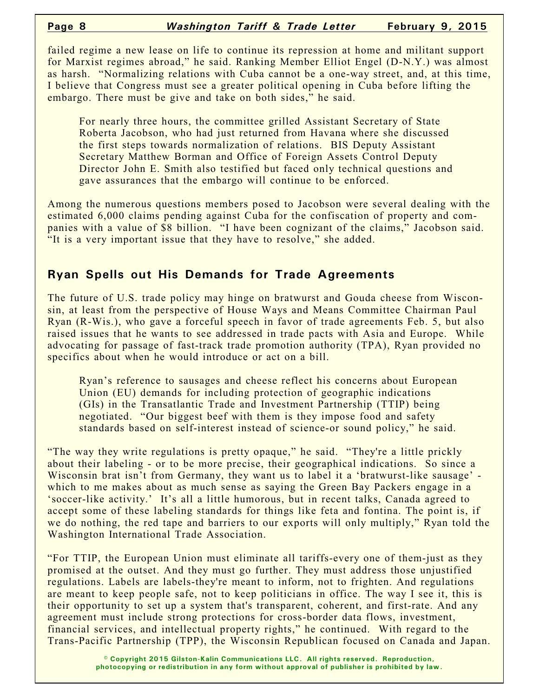failed regime a new lease on life to continue its repression at home and militant support for Marxist regimes abroad," he said. Ranking Member Elliot Engel (D-N.Y.) was almost as harsh. "Normalizing relations with Cuba cannot be a one-way street, and, at this time, I believe that Congress must see a greater political opening in Cuba before lifting the embargo. There must be give and take on both sides," he said.

For nearly three hours, the committee grilled Assistant Secretary of State Roberta Jacobson, who had just returned from Havana where she discussed the first steps towards normalization of relations. BIS Deputy Assistant Secretary Matthew Borman and Office of Foreign Assets Control Deputy Director John E. Smith also testified but faced only technical questions and gave assurances that the embargo will continue to be enforced.

Among the numerous questions members posed to Jacobson were several dealing with the estimated 6,000 claims pending against Cuba for the confiscation of property and companies with a value of \$8 billion. "I have been cognizant of the claims," Jacobson said. "It is a very important issue that they have to resolve," she added.

### **Ryan Spells out His Demands for Trade Agreements**

The future of U.S. trade policy may hinge on bratwurst and Gouda cheese from Wisconsin, at least from the perspective of House Ways and Means Committee Chairman Paul Ryan (R-Wis.), who gave a forceful speech in favor of trade agreements Feb. 5, but also raised issues that he wants to see addressed in trade pacts with Asia and Europe. While advocating for passage of fast-track trade promotion authority (TPA), Ryan provided no specifics about when he would introduce or act on a bill.

Ryan's reference to sausages and cheese reflect his concerns about European Union (EU) demands for including protection of geographic indications (GIs) in the Transatlantic Trade and Investment Partnership (TTIP) being negotiated. "Our biggest beef with them is they impose food and safety standards based on self-interest instead of science-or sound policy," he said.

"The way they write regulations is pretty opaque," he said. "They're a little prickly about their labeling - or to be more precise, their geographical indications. So since a Wisconsin brat isn't from Germany, they want us to label it a 'bratwurst-like sausage' which to me makes about as much sense as saying the Green Bay Packers engage in a 'soccer-like activity.' It's all a little humorous, but in recent talks, Canada agreed to accept some of these labeling standards for things like feta and fontina. The point is, if we do nothing, the red tape and barriers to our exports will only multiply," Ryan told the Washington International Trade Association.

"For TTIP, the European Union must eliminate all tariffs-every one of them-just as they promised at the outset. And they must go further. They must address those unjustified regulations. Labels are labels-they're meant to inform, not to frighten. And regulations are meant to keep people safe, not to keep politicians in office. The way I see it, this is their opportunity to set up a system that's transparent, coherent, and first-rate. And any agreement must include strong protections for cross-border data flows, investment, financial services, and intellectual property rights," he continued. With regard to the Trans-Pacific Partnership (TPP), the Wisconsin Republican focused on Canada and Japan.